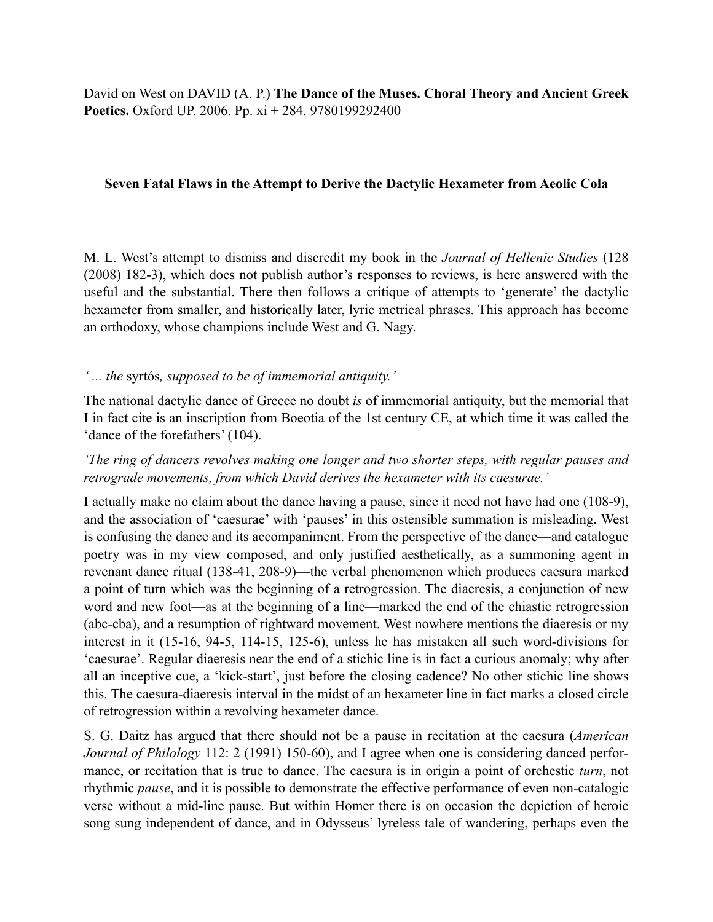David on West on DAVID (A. P.) **The Dance of the Muses. Choral Theory and Ancient Greek Poetics.** Oxford UP. 2006. Pp. xi + 284. 9780199292400

#### **Seven Fatal Flaws in the Attempt to Derive the Dactylic Hexameter from Aeolic Cola**

M. L. West's attempt to dismiss and discredit my book in the *Journal of Hellenic Studies* (128 (2008) 182-3), which does not publish author's responses to reviews, is here answered with the useful and the substantial. There then follows a critique of attempts to 'generate' the dactylic hexameter from smaller, and historically later, lyric metrical phrases. This approach has become an orthodoxy, whose champions include West and G. Nagy.

#### *' ... the* syrtós*, supposed to be of immemorial antiquity.'*

The national dactylic dance of Greece no doubt *is* of immemorial antiquity, but the memorial that I in fact cite is an inscription from Boeotia of the 1st century CE, at which time it was called the 'dance of the forefathers' (104).

## *'The ring of dancers revolves making one longer and two shorter steps, with regular pauses and retrograde movements, from which David derives the hexameter with its caesurae.'*

I actually make no claim about the dance having a pause, since it need not have had one (108-9), and the association of 'caesurae' with 'pauses' in this ostensible summation is misleading. West is confusing the dance and its accompaniment. From the perspective of the dance—and catalogue poetry was in my view composed, and only justified aesthetically, as a summoning agent in revenant dance ritual (138-41, 208-9)—the verbal phenomenon which produces caesura marked a point of turn which was the beginning of a retrogression. The diaeresis, a conjunction of new word and new foot—as at the beginning of a line—marked the end of the chiastic retrogression (abc-cba), and a resumption of rightward movement. West nowhere mentions the diaeresis or my interest in it (15-16, 94-5, 114-15, 125-6), unless he has mistaken all such word-divisions for 'caesurae'. Regular diaeresis near the end of a stichic line is in fact a curious anomaly; why after all an inceptive cue, a 'kick-start', just before the closing cadence? No other stichic line shows this. The caesura-diaeresis interval in the midst of an hexameter line in fact marks a closed circle of retrogression within a revolving hexameter dance.

S. G. Daitz has argued that there should not be a pause in recitation at the caesura (*American Journal of Philology* 112: 2 (1991) 150-60), and I agree when one is considering danced performance, or recitation that is true to dance. The caesura is in origin a point of orchestic *turn*, not rhythmic *pause*, and it is possible to demonstrate the effective performance of even non-catalogic verse without a mid-line pause. But within Homer there is on occasion the depiction of heroic song sung independent of dance, and in Odysseus' lyreless tale of wandering, perhaps even the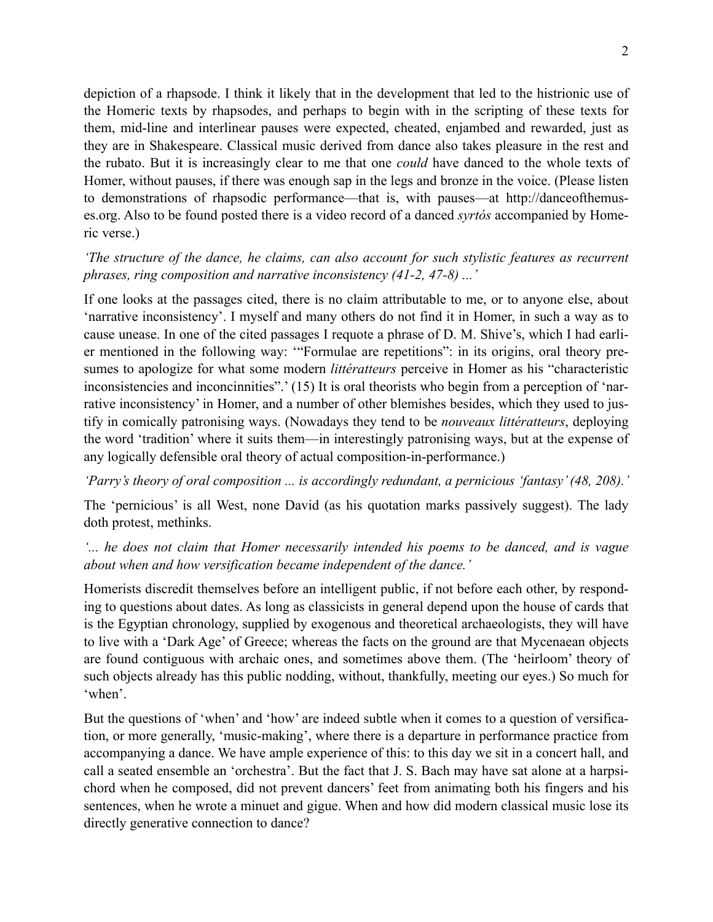depiction of a rhapsode. I think it likely that in the development that led to the histrionic use of the Homeric texts by rhapsodes, and perhaps to begin with in the scripting of these texts for them, mid-line and interlinear pauses were expected, cheated, enjambed and rewarded, just as they are in Shakespeare. Classical music derived from dance also takes pleasure in the rest and the rubato. But it is increasingly clear to me that one *could* have danced to the whole texts of Homer, without pauses, if there was enough sap in the legs and bronze in the voice. (Please listen to demonstrations of rhapsodic performance—that is, with pauses—at http://danceofthemuses.org. Also to be found posted there is a video record of a danced *syrtós* accompanied by Homeric verse.)

# *'The structure of the dance, he claims, can also account for such stylistic features as recurrent phrases, ring composition and narrative inconsistency (41-2, 47-8) ...'*

If one looks at the passages cited, there is no claim attributable to me, or to anyone else, about 'narrative inconsistency'. I myself and many others do not find it in Homer, in such a way as to cause unease. In one of the cited passages I requote a phrase of D. M. Shive's, which I had earlier mentioned in the following way: '"Formulae are repetitions": in its origins, oral theory presumes to apologize for what some modern *littératteurs* perceive in Homer as his "characteristic inconsistencies and inconcinnities".' (15) It is oral theorists who begin from a perception of 'narrative inconsistency' in Homer, and a number of other blemishes besides, which they used to justify in comically patronising ways. (Nowadays they tend to be *nouveaux littératteurs*, deploying the word 'tradition' where it suits them—in interestingly patronising ways, but at the expense of any logically defensible oral theory of actual composition-in-performance.)

#### *'Parry's theory of oral composition ... is accordingly redundant, a pernicious 'fantasy' (48, 208).'*

The 'pernicious' is all West, none David (as his quotation marks passively suggest). The lady doth protest, methinks.

### *'... he does not claim that Homer necessarily intended his poems to be danced, and is vague about when and how versification became independent of the dance.'*

Homerists discredit themselves before an intelligent public, if not before each other, by responding to questions about dates. As long as classicists in general depend upon the house of cards that is the Egyptian chronology, supplied by exogenous and theoretical archaeologists, they will have to live with a 'Dark Age' of Greece; whereas the facts on the ground are that Mycenaean objects are found contiguous with archaic ones, and sometimes above them. (The 'heirloom' theory of such objects already has this public nodding, without, thankfully, meeting our eyes.) So much for 'when'.

But the questions of 'when' and 'how' are indeed subtle when it comes to a question of versification, or more generally, 'music-making', where there is a departure in performance practice from accompanying a dance. We have ample experience of this: to this day we sit in a concert hall, and call a seated ensemble an 'orchestra'. But the fact that J. S. Bach may have sat alone at a harpsichord when he composed, did not prevent dancers' feet from animating both his fingers and his sentences, when he wrote a minuet and gigue. When and how did modern classical music lose its directly generative connection to dance?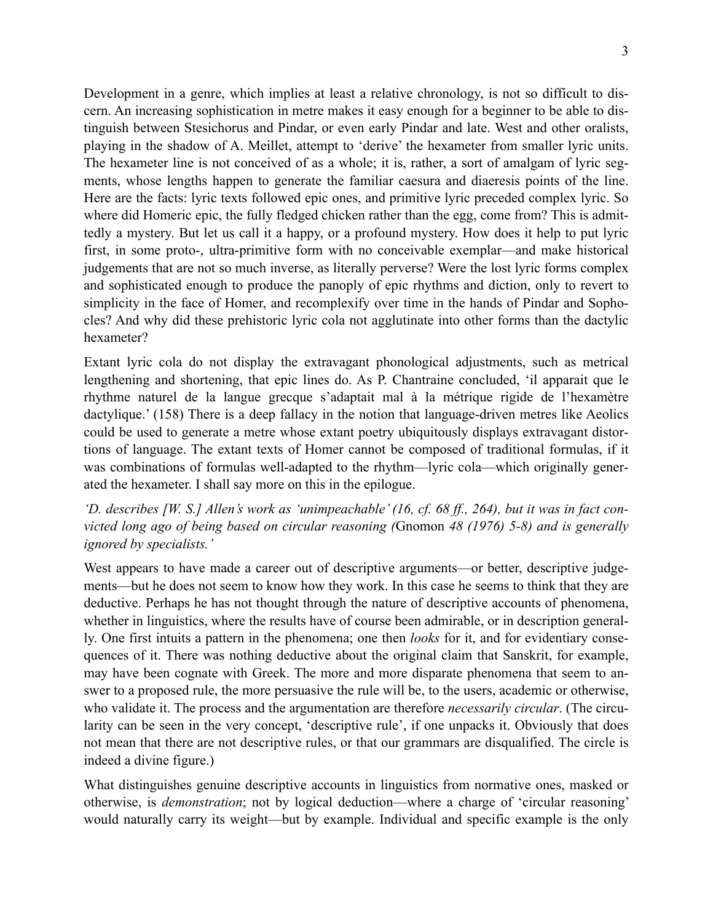Development in a genre, which implies at least a relative chronology, is not so difficult to discern. An increasing sophistication in metre makes it easy enough for a beginner to be able to distinguish between Stesichorus and Pindar, or even early Pindar and late. West and other oralists, playing in the shadow of A. Meillet, attempt to 'derive' the hexameter from smaller lyric units. The hexameter line is not conceived of as a whole; it is, rather, a sort of amalgam of lyric segments, whose lengths happen to generate the familiar caesura and diaeresis points of the line. Here are the facts: lyric texts followed epic ones, and primitive lyric preceded complex lyric. So where did Homeric epic, the fully fledged chicken rather than the egg, come from? This is admittedly a mystery. But let us call it a happy, or a profound mystery. How does it help to put lyric first, in some proto-, ultra-primitive form with no conceivable exemplar—and make historical judgements that are not so much inverse, as literally perverse? Were the lost lyric forms complex and sophisticated enough to produce the panoply of epic rhythms and diction, only to revert to simplicity in the face of Homer, and recomplexify over time in the hands of Pindar and Sophocles? And why did these prehistoric lyric cola not agglutinate into other forms than the dactylic hexameter?

Extant lyric cola do not display the extravagant phonological adjustments, such as metrical lengthening and shortening, that epic lines do. As P. Chantraine concluded, 'il apparait que le rhythme naturel de la langue grecque s'adaptait mal à la métrique rigide de l'hexamètre dactylique.' (158) There is a deep fallacy in the notion that language-driven metres like Aeolics could be used to generate a metre whose extant poetry ubiquitously displays extravagant distortions of language. The extant texts of Homer cannot be composed of traditional formulas, if it was combinations of formulas well-adapted to the rhythm—lyric cola—which originally generated the hexameter. I shall say more on this in the epilogue.

### *'D. describes [W. S.] Allen's work as 'unimpeachable' (16, cf. 68 ff., 264), but it was in fact convicted long ago of being based on circular reasoning (*Gnomon *48 (1976) 5-8) and is generally ignored by specialists.'*

West appears to have made a career out of descriptive arguments—or better, descriptive judgements—but he does not seem to know how they work. In this case he seems to think that they are deductive. Perhaps he has not thought through the nature of descriptive accounts of phenomena, whether in linguistics, where the results have of course been admirable, or in description generally. One first intuits a pattern in the phenomena; one then *looks* for it, and for evidentiary consequences of it. There was nothing deductive about the original claim that Sanskrit, for example, may have been cognate with Greek. The more and more disparate phenomena that seem to answer to a proposed rule, the more persuasive the rule will be, to the users, academic or otherwise, who validate it. The process and the argumentation are therefore *necessarily circular*. (The circularity can be seen in the very concept, 'descriptive rule', if one unpacks it. Obviously that does not mean that there are not descriptive rules, or that our grammars are disqualified. The circle is indeed a divine figure.)

What distinguishes genuine descriptive accounts in linguistics from normative ones, masked or otherwise, is *demonstration*; not by logical deduction—where a charge of 'circular reasoning' would naturally carry its weight—but by example. Individual and specific example is the only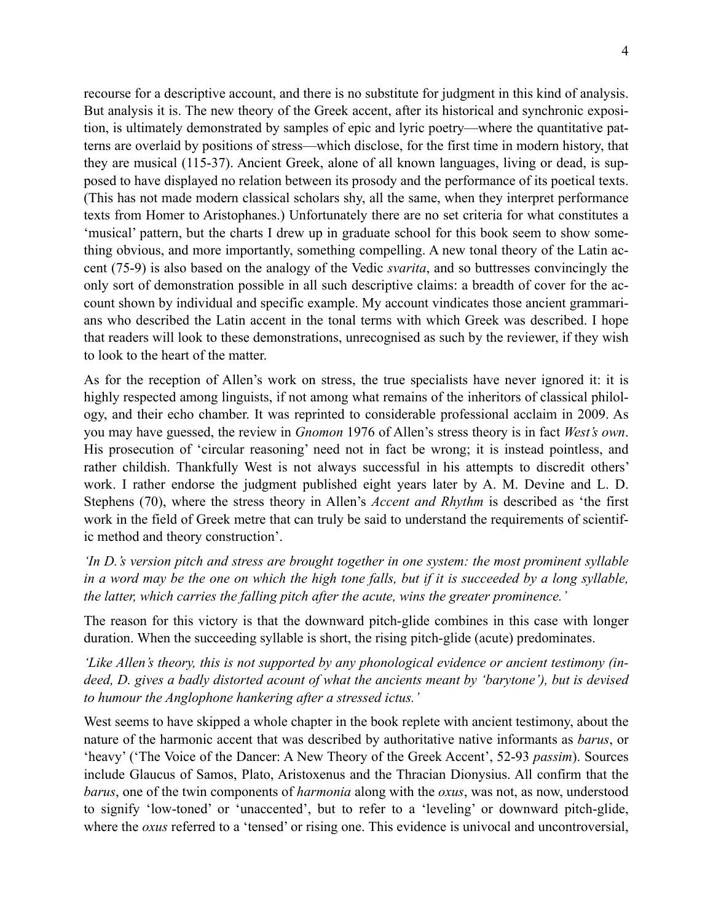recourse for a descriptive account, and there is no substitute for judgment in this kind of analysis. But analysis it is. The new theory of the Greek accent, after its historical and synchronic exposition, is ultimately demonstrated by samples of epic and lyric poetry—where the quantitative patterns are overlaid by positions of stress—which disclose, for the first time in modern history, that they are musical (115-37). Ancient Greek, alone of all known languages, living or dead, is supposed to have displayed no relation between its prosody and the performance of its poetical texts. (This has not made modern classical scholars shy, all the same, when they interpret performance texts from Homer to Aristophanes.) Unfortunately there are no set criteria for what constitutes a 'musical' pattern, but the charts I drew up in graduate school for this book seem to show something obvious, and more importantly, something compelling. A new tonal theory of the Latin accent (75-9) is also based on the analogy of the Vedic *svarita*, and so buttresses convincingly the only sort of demonstration possible in all such descriptive claims: a breadth of cover for the account shown by individual and specific example. My account vindicates those ancient grammarians who described the Latin accent in the tonal terms with which Greek was described. I hope that readers will look to these demonstrations, unrecognised as such by the reviewer, if they wish to look to the heart of the matter.

As for the reception of Allen's work on stress, the true specialists have never ignored it: it is highly respected among linguists, if not among what remains of the inheritors of classical philology, and their echo chamber. It was reprinted to considerable professional acclaim in 2009. As you may have guessed, the review in *Gnomon* 1976 of Allen's stress theory is in fact *West's own*. His prosecution of 'circular reasoning' need not in fact be wrong; it is instead pointless, and rather childish. Thankfully West is not always successful in his attempts to discredit others' work. I rather endorse the judgment published eight years later by A. M. Devine and L. D. Stephens (70), where the stress theory in Allen's *Accent and Rhythm* is described as 'the first work in the field of Greek metre that can truly be said to understand the requirements of scientific method and theory construction'.

*'In D.'s version pitch and stress are brought together in one system: the most prominent syllable in a word may be the one on which the high tone falls, but if it is succeeded by a long syllable, the latter, which carries the falling pitch after the acute, wins the greater prominence.'* 

The reason for this victory is that the downward pitch-glide combines in this case with longer duration. When the succeeding syllable is short, the rising pitch-glide (acute) predominates.

*'Like Allen's theory, this is not supported by any phonological evidence or ancient testimony (indeed, D. gives a badly distorted acount of what the ancients meant by 'barytone'), but is devised to humour the Anglophone hankering after a stressed ictus.'* 

West seems to have skipped a whole chapter in the book replete with ancient testimony, about the nature of the harmonic accent that was described by authoritative native informants as *barus*, or 'heavy' ('The Voice of the Dancer: A New Theory of the Greek Accent', 52-93 *passim*). Sources include Glaucus of Samos, Plato, Aristoxenus and the Thracian Dionysius. All confirm that the *barus*, one of the twin components of *harmonia* along with the *oxus*, was not, as now, understood to signify 'low-toned' or 'unaccented', but to refer to a 'leveling' or downward pitch-glide, where the *oxus* referred to a 'tensed' or rising one. This evidence is univocal and uncontroversial,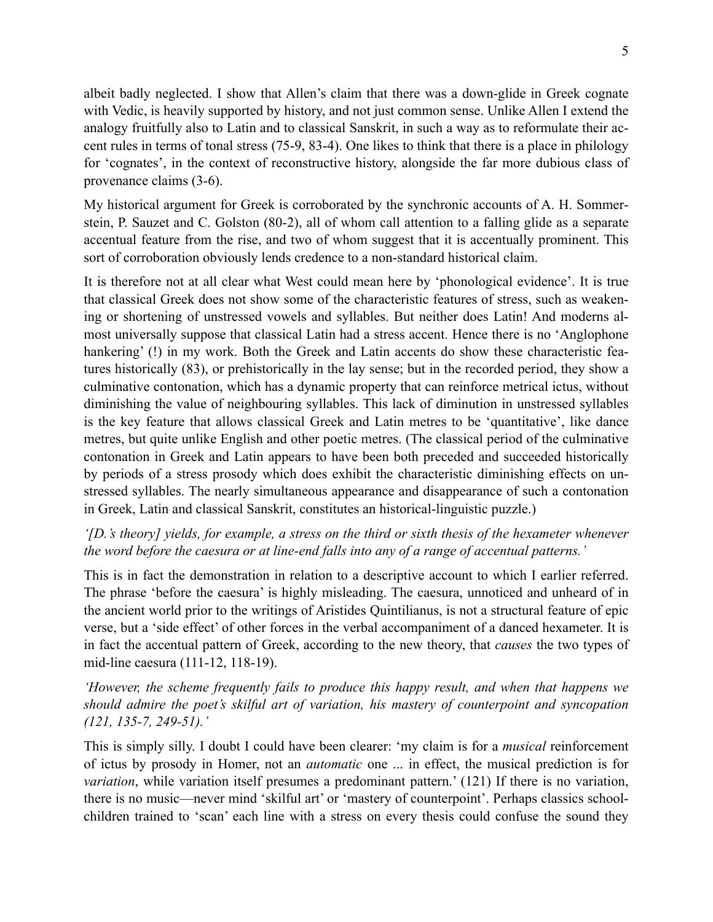albeit badly neglected. I show that Allen's claim that there was a down-glide in Greek cognate with Vedic, is heavily supported by history, and not just common sense. Unlike Allen I extend the analogy fruitfully also to Latin and to classical Sanskrit, in such a way as to reformulate their accent rules in terms of tonal stress (75-9, 83-4). One likes to think that there is a place in philology for 'cognates', in the context of reconstructive history, alongside the far more dubious class of provenance claims (3-6).

My historical argument for Greek is corroborated by the synchronic accounts of A. H. Sommerstein, P. Sauzet and C. Golston (80-2), all of whom call attention to a falling glide as a separate accentual feature from the rise, and two of whom suggest that it is accentually prominent. This sort of corroboration obviously lends credence to a non-standard historical claim.

It is therefore not at all clear what West could mean here by 'phonological evidence'. It is true that classical Greek does not show some of the characteristic features of stress, such as weakening or shortening of unstressed vowels and syllables. But neither does Latin! And moderns almost universally suppose that classical Latin had a stress accent. Hence there is no 'Anglophone hankering' (!) in my work. Both the Greek and Latin accents do show these characteristic features historically (83), or prehistorically in the lay sense; but in the recorded period, they show a culminative contonation, which has a dynamic property that can reinforce metrical ictus, without diminishing the value of neighbouring syllables. This lack of diminution in unstressed syllables is the key feature that allows classical Greek and Latin metres to be 'quantitative', like dance metres, but quite unlike English and other poetic metres. (The classical period of the culminative contonation in Greek and Latin appears to have been both preceded and succeeded historically by periods of a stress prosody which does exhibit the characteristic diminishing effects on unstressed syllables. The nearly simultaneous appearance and disappearance of such a contonation in Greek, Latin and classical Sanskrit, constitutes an historical-linguistic puzzle.)

### *'[D.'s theory] yields, for example, a stress on the third or sixth thesis of the hexameter whenever the word before the caesura or at line-end falls into any of a range of accentual patterns.'*

This is in fact the demonstration in relation to a descriptive account to which I earlier referred. The phrase 'before the caesura' is highly misleading. The caesura, unnoticed and unheard of in the ancient world prior to the writings of Aristides Quintilianus, is not a structural feature of epic verse, but a 'side effect' of other forces in the verbal accompaniment of a danced hexameter. It is in fact the accentual pattern of Greek, according to the new theory, that *causes* the two types of mid-line caesura (111-12, 118-19).

*'However, the scheme frequently fails to produce this happy result, and when that happens we should admire the poet's skilful art of variation, his mastery of counterpoint and syncopation (121, 135-7, 249-51).'* 

This is simply silly. I doubt I could have been clearer: 'my claim is for a *musical* reinforcement of ictus by prosody in Homer, not an *automatic* one ... in effect, the musical prediction is for *variation*, while variation itself presumes a predominant pattern.' (121) If there is no variation, there is no music—never mind 'skilful art' or 'mastery of counterpoint'. Perhaps classics schoolchildren trained to 'scan' each line with a stress on every thesis could confuse the sound they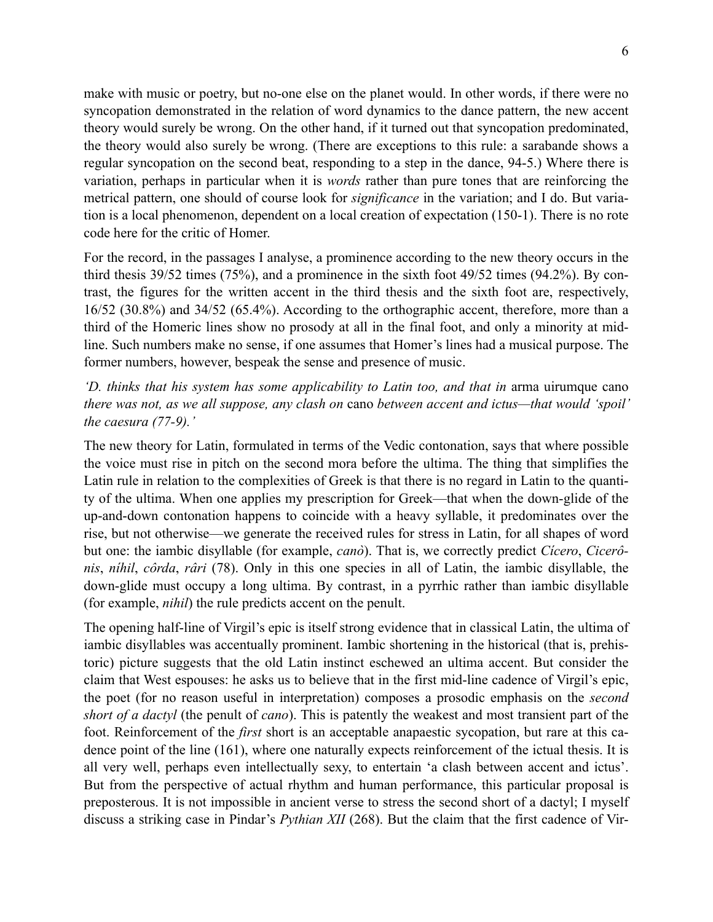make with music or poetry, but no-one else on the planet would. In other words, if there were no syncopation demonstrated in the relation of word dynamics to the dance pattern, the new accent theory would surely be wrong. On the other hand, if it turned out that syncopation predominated, the theory would also surely be wrong. (There are exceptions to this rule: a sarabande shows a regular syncopation on the second beat, responding to a step in the dance, 94-5.) Where there is variation, perhaps in particular when it is *words* rather than pure tones that are reinforcing the metrical pattern, one should of course look for *significance* in the variation; and I do. But variation is a local phenomenon, dependent on a local creation of expectation (150-1). There is no rote code here for the critic of Homer.

For the record, in the passages I analyse, a prominence according to the new theory occurs in the third thesis 39/52 times (75%), and a prominence in the sixth foot 49/52 times (94.2%). By contrast, the figures for the written accent in the third thesis and the sixth foot are, respectively, 16/52 (30.8%) and 34/52 (65.4%). According to the orthographic accent, therefore, more than a third of the Homeric lines show no prosody at all in the final foot, and only a minority at midline. Such numbers make no sense, if one assumes that Homer's lines had a musical purpose. The former numbers, however, bespeak the sense and presence of music.

*'D. thinks that his system has some applicability to Latin too, and that in* arma uirumque cano *there was not, as we all suppose, any clash on* cano *between accent and ictus—that would 'spoil' the caesura (77-9).'* 

The new theory for Latin, formulated in terms of the Vedic contonation, says that where possible the voice must rise in pitch on the second mora before the ultima. The thing that simplifies the Latin rule in relation to the complexities of Greek is that there is no regard in Latin to the quantity of the ultima. When one applies my prescription for Greek—that when the down-glide of the up-and-down contonation happens to coincide with a heavy syllable, it predominates over the rise, but not otherwise—we generate the received rules for stress in Latin, for all shapes of word but one: the iambic disyllable (for example, *canò*). That is, we correctly predict *Cícero*, *Cicerônis*, *níhil*, *côrda*, *râri* (78). Only in this one species in all of Latin, the iambic disyllable, the down-glide must occupy a long ultima. By contrast, in a pyrrhic rather than iambic disyllable (for example, *nihil*) the rule predicts accent on the penult.

The opening half-line of Virgil's epic is itself strong evidence that in classical Latin, the ultima of iambic disyllables was accentually prominent. Iambic shortening in the historical (that is, prehistoric) picture suggests that the old Latin instinct eschewed an ultima accent. But consider the claim that West espouses: he asks us to believe that in the first mid-line cadence of Virgil's epic, the poet (for no reason useful in interpretation) composes a prosodic emphasis on the *second short of a dactyl* (the penult of *cano*). This is patently the weakest and most transient part of the foot. Reinforcement of the *first* short is an acceptable anapaestic sycopation, but rare at this cadence point of the line (161), where one naturally expects reinforcement of the ictual thesis. It is all very well, perhaps even intellectually sexy, to entertain 'a clash between accent and ictus'. But from the perspective of actual rhythm and human performance, this particular proposal is preposterous. It is not impossible in ancient verse to stress the second short of a dactyl; I myself discuss a striking case in Pindar's *Pythian XII* (268). But the claim that the first cadence of Vir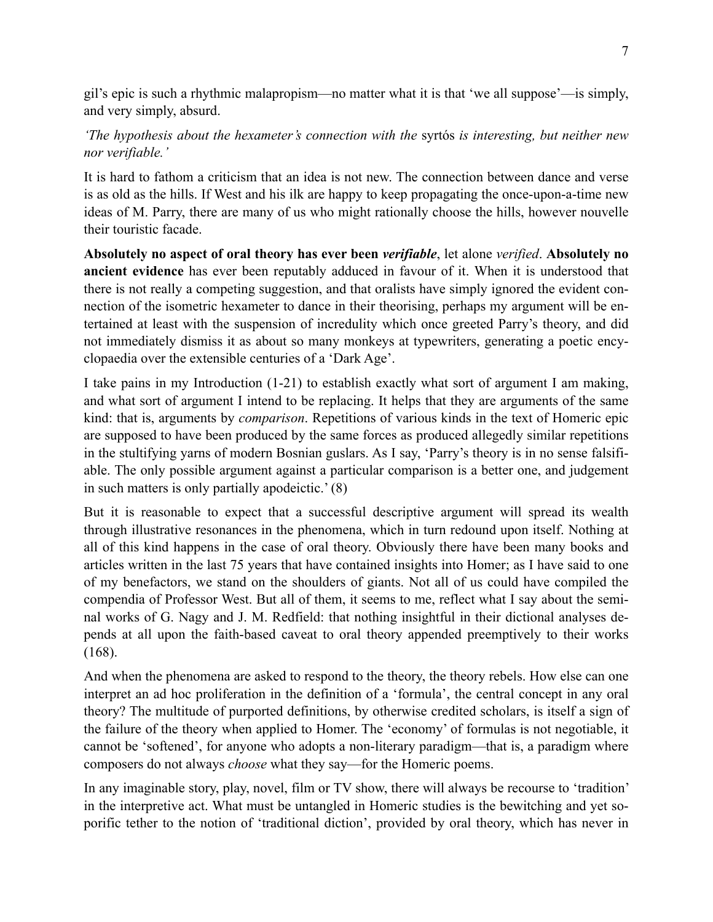gil's epic is such a rhythmic malapropism—no matter what it is that 'we all suppose'—is simply, and very simply, absurd.

# *'The hypothesis about the hexameter's connection with the* syrtós *is interesting, but neither new nor verifiable.'*

It is hard to fathom a criticism that an idea is not new. The connection between dance and verse is as old as the hills. If West and his ilk are happy to keep propagating the once-upon-a-time new ideas of M. Parry, there are many of us who might rationally choose the hills, however nouvelle their touristic facade.

**Absolutely no aspect of oral theory has ever been** *verifiable*, let alone *verified*. **Absolutely no ancient evidence** has ever been reputably adduced in favour of it. When it is understood that there is not really a competing suggestion, and that oralists have simply ignored the evident connection of the isometric hexameter to dance in their theorising, perhaps my argument will be entertained at least with the suspension of incredulity which once greeted Parry's theory, and did not immediately dismiss it as about so many monkeys at typewriters, generating a poetic encyclopaedia over the extensible centuries of a 'Dark Age'.

I take pains in my Introduction (1-21) to establish exactly what sort of argument I am making, and what sort of argument I intend to be replacing. It helps that they are arguments of the same kind: that is, arguments by *comparison*. Repetitions of various kinds in the text of Homeric epic are supposed to have been produced by the same forces as produced allegedly similar repetitions in the stultifying yarns of modern Bosnian guslars. As I say, 'Parry's theory is in no sense falsifiable. The only possible argument against a particular comparison is a better one, and judgement in such matters is only partially apodeictic.' (8)

But it is reasonable to expect that a successful descriptive argument will spread its wealth through illustrative resonances in the phenomena, which in turn redound upon itself. Nothing at all of this kind happens in the case of oral theory. Obviously there have been many books and articles written in the last 75 years that have contained insights into Homer; as I have said to one of my benefactors, we stand on the shoulders of giants. Not all of us could have compiled the compendia of Professor West. But all of them, it seems to me, reflect what I say about the seminal works of G. Nagy and J. M. Redfield: that nothing insightful in their dictional analyses depends at all upon the faith-based caveat to oral theory appended preemptively to their works (168).

And when the phenomena are asked to respond to the theory, the theory rebels. How else can one interpret an ad hoc proliferation in the definition of a 'formula', the central concept in any oral theory? The multitude of purported definitions, by otherwise credited scholars, is itself a sign of the failure of the theory when applied to Homer. The 'economy' of formulas is not negotiable, it cannot be 'softened', for anyone who adopts a non-literary paradigm—that is, a paradigm where composers do not always *choose* what they say—for the Homeric poems.

In any imaginable story, play, novel, film or TV show, there will always be recourse to 'tradition' in the interpretive act. What must be untangled in Homeric studies is the bewitching and yet soporific tether to the notion of 'traditional diction', provided by oral theory, which has never in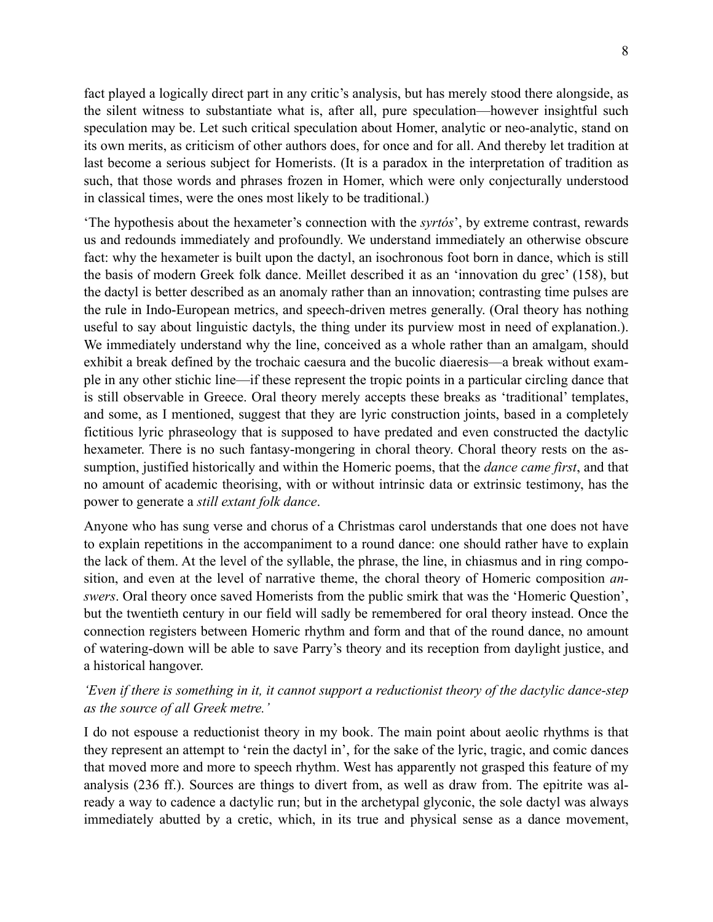fact played a logically direct part in any critic's analysis, but has merely stood there alongside, as the silent witness to substantiate what is, after all, pure speculation—however insightful such speculation may be. Let such critical speculation about Homer, analytic or neo-analytic, stand on its own merits, as criticism of other authors does, for once and for all. And thereby let tradition at last become a serious subject for Homerists. (It is a paradox in the interpretation of tradition as such, that those words and phrases frozen in Homer, which were only conjecturally understood in classical times, were the ones most likely to be traditional.)

'The hypothesis about the hexameter's connection with the *syrtós*', by extreme contrast, rewards us and redounds immediately and profoundly. We understand immediately an otherwise obscure fact: why the hexameter is built upon the dactyl, an isochronous foot born in dance, which is still the basis of modern Greek folk dance. Meillet described it as an 'innovation du grec' (158), but the dactyl is better described as an anomaly rather than an innovation; contrasting time pulses are the rule in Indo-European metrics, and speech-driven metres generally. (Oral theory has nothing useful to say about linguistic dactyls, the thing under its purview most in need of explanation.). We immediately understand why the line, conceived as a whole rather than an amalgam, should exhibit a break defined by the trochaic caesura and the bucolic diaeresis—a break without example in any other stichic line—if these represent the tropic points in a particular circling dance that is still observable in Greece. Oral theory merely accepts these breaks as 'traditional' templates, and some, as I mentioned, suggest that they are lyric construction joints, based in a completely fictitious lyric phraseology that is supposed to have predated and even constructed the dactylic hexameter. There is no such fantasy-mongering in choral theory. Choral theory rests on the assumption, justified historically and within the Homeric poems, that the *dance came first*, and that no amount of academic theorising, with or without intrinsic data or extrinsic testimony, has the power to generate a *still extant folk dance*.

Anyone who has sung verse and chorus of a Christmas carol understands that one does not have to explain repetitions in the accompaniment to a round dance: one should rather have to explain the lack of them. At the level of the syllable, the phrase, the line, in chiasmus and in ring composition, and even at the level of narrative theme, the choral theory of Homeric composition *answers*. Oral theory once saved Homerists from the public smirk that was the 'Homeric Question', but the twentieth century in our field will sadly be remembered for oral theory instead. Once the connection registers between Homeric rhythm and form and that of the round dance, no amount of watering-down will be able to save Parry's theory and its reception from daylight justice, and a historical hangover.

### *'Even if there is something in it, it cannot support a reductionist theory of the dactylic dance-step as the source of all Greek metre.'*

I do not espouse a reductionist theory in my book. The main point about aeolic rhythms is that they represent an attempt to 'rein the dactyl in', for the sake of the lyric, tragic, and comic dances that moved more and more to speech rhythm. West has apparently not grasped this feature of my analysis (236 ff.). Sources are things to divert from, as well as draw from. The epitrite was already a way to cadence a dactylic run; but in the archetypal glyconic, the sole dactyl was always immediately abutted by a cretic, which, in its true and physical sense as a dance movement,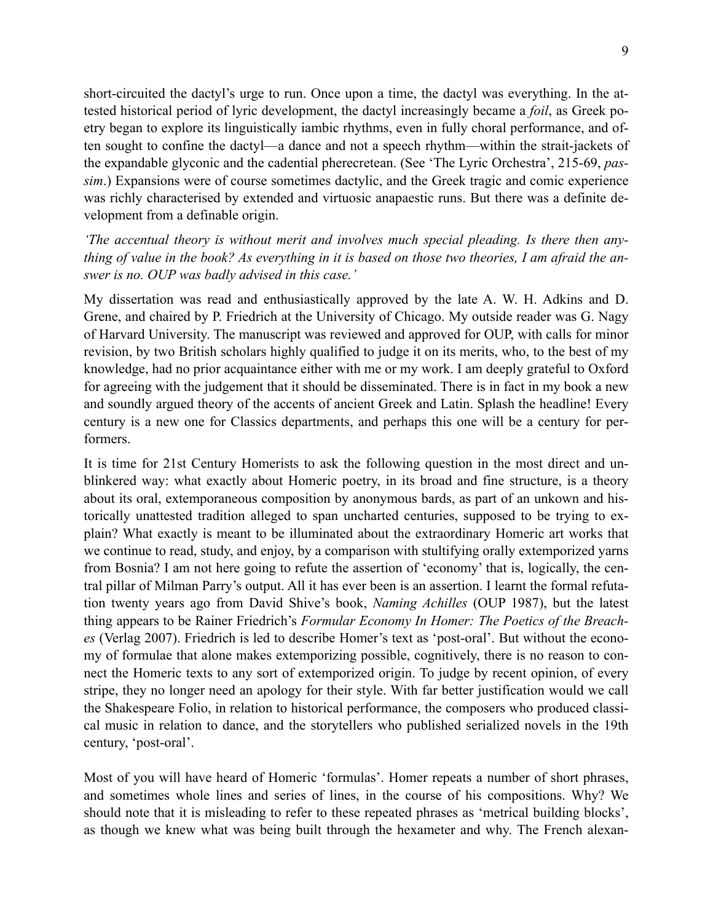short-circuited the dactyl's urge to run. Once upon a time, the dactyl was everything. In the attested historical period of lyric development, the dactyl increasingly became a *foil*, as Greek poetry began to explore its linguistically iambic rhythms, even in fully choral performance, and often sought to confine the dactyl—a dance and not a speech rhythm—within the strait-jackets of the expandable glyconic and the cadential pherecretean. (See 'The Lyric Orchestra', 215-69, *passim*.) Expansions were of course sometimes dactylic, and the Greek tragic and comic experience was richly characterised by extended and virtuosic anapaestic runs. But there was a definite development from a definable origin.

*'The accentual theory is without merit and involves much special pleading. Is there then anything of value in the book? As everything in it is based on those two theories, I am afraid the answer is no. OUP was badly advised in this case.'* 

My dissertation was read and enthusiastically approved by the late A. W. H. Adkins and D. Grene, and chaired by P. Friedrich at the University of Chicago. My outside reader was G. Nagy of Harvard University. The manuscript was reviewed and approved for OUP, with calls for minor revision, by two British scholars highly qualified to judge it on its merits, who, to the best of my knowledge, had no prior acquaintance either with me or my work. I am deeply grateful to Oxford for agreeing with the judgement that it should be disseminated. There is in fact in my book a new and soundly argued theory of the accents of ancient Greek and Latin. Splash the headline! Every century is a new one for Classics departments, and perhaps this one will be a century for performers.

It is time for 21st Century Homerists to ask the following question in the most direct and unblinkered way: what exactly about Homeric poetry, in its broad and fine structure, is a theory about its oral, extemporaneous composition by anonymous bards, as part of an unkown and historically unattested tradition alleged to span uncharted centuries, supposed to be trying to explain? What exactly is meant to be illuminated about the extraordinary Homeric art works that we continue to read, study, and enjoy, by a comparison with stultifying orally extemporized yarns from Bosnia? I am not here going to refute the assertion of 'economy' that is, logically, the central pillar of Milman Parry's output. All it has ever been is an assertion. I learnt the formal refutation twenty years ago from David Shive's book, *Naming Achilles* (OUP 1987), but the latest thing appears to be Rainer Friedrich's *Formular Economy In Homer: The Poetics of the Breaches* (Verlag 2007). Friedrich is led to describe Homer's text as 'post-oral'. But without the economy of formulae that alone makes extemporizing possible, cognitively, there is no reason to connect the Homeric texts to any sort of extemporized origin. To judge by recent opinion, of every stripe, they no longer need an apology for their style. With far better justification would we call the Shakespeare Folio, in relation to historical performance, the composers who produced classical music in relation to dance, and the storytellers who published serialized novels in the 19th century, 'post-oral'.

Most of you will have heard of Homeric 'formulas'. Homer repeats a number of short phrases, and sometimes whole lines and series of lines, in the course of his compositions. Why? We should note that it is misleading to refer to these repeated phrases as 'metrical building blocks', as though we knew what was being built through the hexameter and why. The French alexan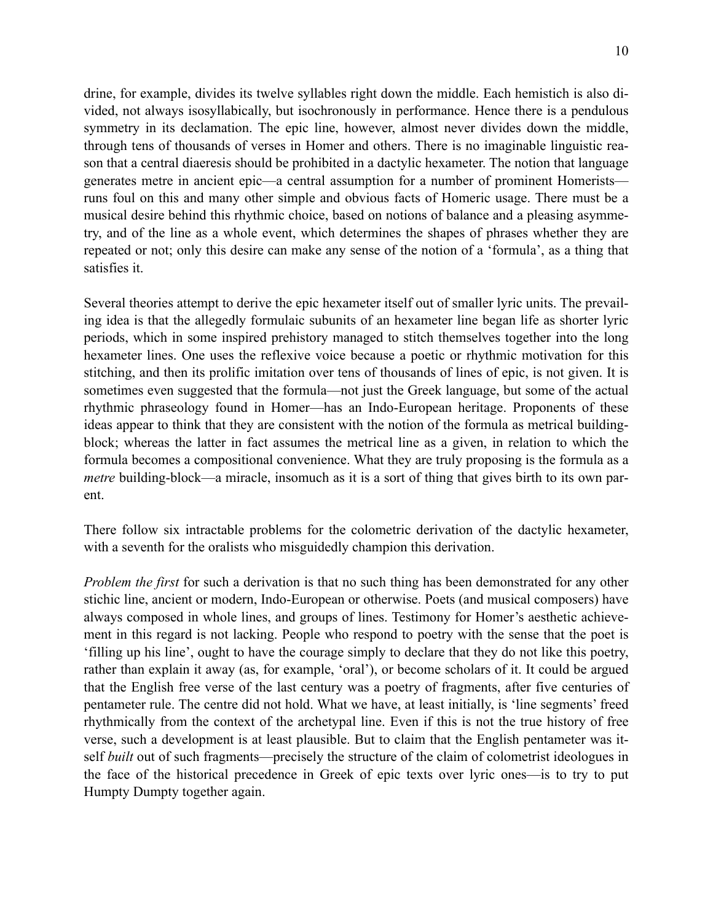drine, for example, divides its twelve syllables right down the middle. Each hemistich is also divided, not always isosyllabically, but isochronously in performance. Hence there is a pendulous symmetry in its declamation. The epic line, however, almost never divides down the middle, through tens of thousands of verses in Homer and others. There is no imaginable linguistic reason that a central diaeresis should be prohibited in a dactylic hexameter. The notion that language generates metre in ancient epic—a central assumption for a number of prominent Homerists runs foul on this and many other simple and obvious facts of Homeric usage. There must be a musical desire behind this rhythmic choice, based on notions of balance and a pleasing asymmetry, and of the line as a whole event, which determines the shapes of phrases whether they are repeated or not; only this desire can make any sense of the notion of a 'formula', as a thing that satisfies it.

Several theories attempt to derive the epic hexameter itself out of smaller lyric units. The prevailing idea is that the allegedly formulaic subunits of an hexameter line began life as shorter lyric periods, which in some inspired prehistory managed to stitch themselves together into the long hexameter lines. One uses the reflexive voice because a poetic or rhythmic motivation for this stitching, and then its prolific imitation over tens of thousands of lines of epic, is not given. It is sometimes even suggested that the formula—not just the Greek language, but some of the actual rhythmic phraseology found in Homer—has an Indo-European heritage. Proponents of these ideas appear to think that they are consistent with the notion of the formula as metrical buildingblock; whereas the latter in fact assumes the metrical line as a given, in relation to which the formula becomes a compositional convenience. What they are truly proposing is the formula as a *metre* building-block—a miracle, insomuch as it is a sort of thing that gives birth to its own parent.

There follow six intractable problems for the colometric derivation of the dactylic hexameter, with a seventh for the oralists who misguidedly champion this derivation.

*Problem the first* for such a derivation is that no such thing has been demonstrated for any other stichic line, ancient or modern, Indo-European or otherwise. Poets (and musical composers) have always composed in whole lines, and groups of lines. Testimony for Homer's aesthetic achievement in this regard is not lacking. People who respond to poetry with the sense that the poet is 'filling up his line', ought to have the courage simply to declare that they do not like this poetry, rather than explain it away (as, for example, 'oral'), or become scholars of it. It could be argued that the English free verse of the last century was a poetry of fragments, after five centuries of pentameter rule. The centre did not hold. What we have, at least initially, is 'line segments' freed rhythmically from the context of the archetypal line. Even if this is not the true history of free verse, such a development is at least plausible. But to claim that the English pentameter was itself *built* out of such fragments—precisely the structure of the claim of colometrist ideologues in the face of the historical precedence in Greek of epic texts over lyric ones—is to try to put Humpty Dumpty together again.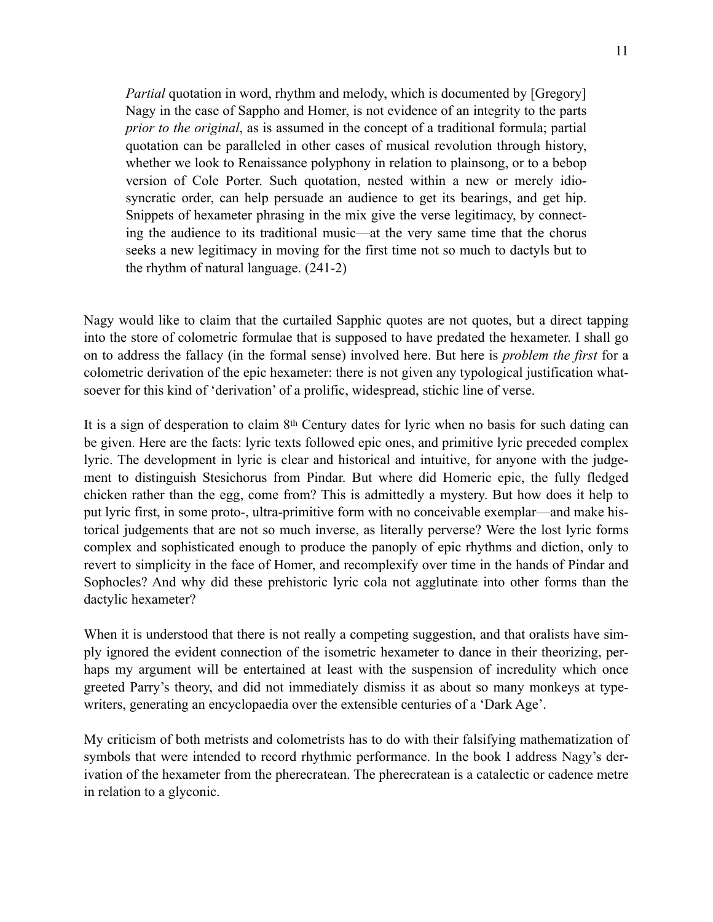*Partial* quotation in word, rhythm and melody, which is documented by [Gregory] Nagy in the case of Sappho and Homer, is not evidence of an integrity to the parts *prior to the original*, as is assumed in the concept of a traditional formula; partial quotation can be paralleled in other cases of musical revolution through history, whether we look to Renaissance polyphony in relation to plainsong, or to a bebop version of Cole Porter. Such quotation, nested within a new or merely idiosyncratic order, can help persuade an audience to get its bearings, and get hip. Snippets of hexameter phrasing in the mix give the verse legitimacy, by connecting the audience to its traditional music—at the very same time that the chorus seeks a new legitimacy in moving for the first time not so much to dactyls but to the rhythm of natural language. (241-2)

Nagy would like to claim that the curtailed Sapphic quotes are not quotes, but a direct tapping into the store of colometric formulae that is supposed to have predated the hexameter. I shall go on to address the fallacy (in the formal sense) involved here. But here is *problem the first* for a colometric derivation of the epic hexameter: there is not given any typological justification whatsoever for this kind of 'derivation' of a prolific, widespread, stichic line of verse.

It is a sign of desperation to claim 8th Century dates for lyric when no basis for such dating can be given. Here are the facts: lyric texts followed epic ones, and primitive lyric preceded complex lyric. The development in lyric is clear and historical and intuitive, for anyone with the judgement to distinguish Stesichorus from Pindar. But where did Homeric epic, the fully fledged chicken rather than the egg, come from? This is admittedly a mystery. But how does it help to put lyric first, in some proto-, ultra-primitive form with no conceivable exemplar—and make historical judgements that are not so much inverse, as literally perverse? Were the lost lyric forms complex and sophisticated enough to produce the panoply of epic rhythms and diction, only to revert to simplicity in the face of Homer, and recomplexify over time in the hands of Pindar and Sophocles? And why did these prehistoric lyric cola not agglutinate into other forms than the dactylic hexameter?

When it is understood that there is not really a competing suggestion, and that oralists have simply ignored the evident connection of the isometric hexameter to dance in their theorizing, perhaps my argument will be entertained at least with the suspension of incredulity which once greeted Parry's theory, and did not immediately dismiss it as about so many monkeys at typewriters, generating an encyclopaedia over the extensible centuries of a 'Dark Age'.

My criticism of both metrists and colometrists has to do with their falsifying mathematization of symbols that were intended to record rhythmic performance. In the book I address Nagy's derivation of the hexameter from the pherecratean. The pherecratean is a catalectic or cadence metre in relation to a glyconic.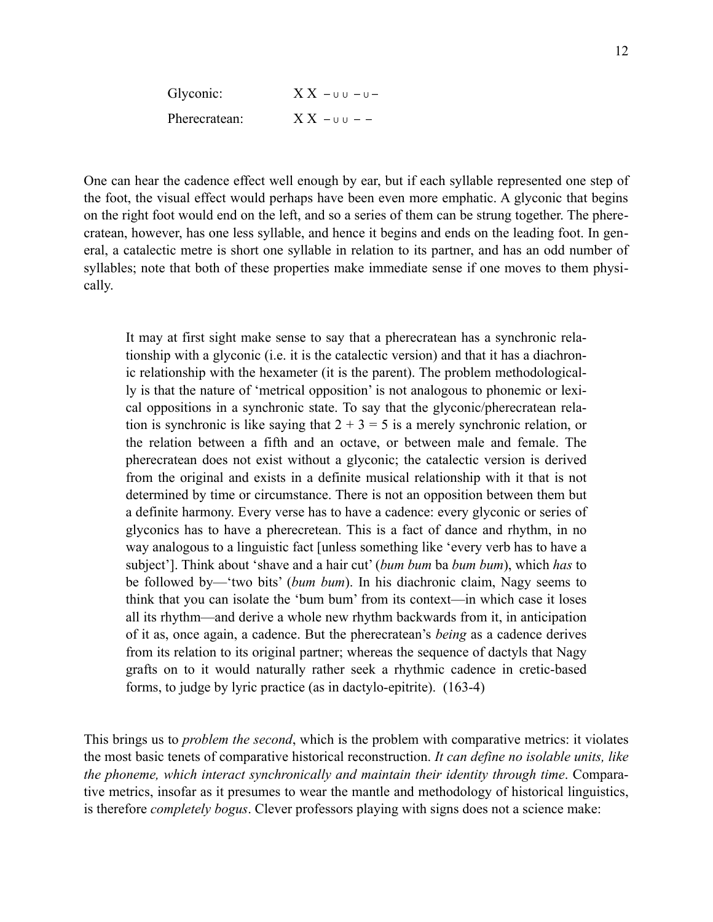| Glyconic:     | $X X - u u - u -$ |
|---------------|-------------------|
| Pherecratean: | $XX - UU - -$     |

One can hear the cadence effect well enough by ear, but if each syllable represented one step of the foot, the visual effect would perhaps have been even more emphatic. A glyconic that begins on the right foot would end on the left, and so a series of them can be strung together. The pherecratean, however, has one less syllable, and hence it begins and ends on the leading foot. In general, a catalectic metre is short one syllable in relation to its partner, and has an odd number of syllables; note that both of these properties make immediate sense if one moves to them physically.

It may at first sight make sense to say that a pherecratean has a synchronic relationship with a glyconic (i.e. it is the catalectic version) and that it has a diachronic relationship with the hexameter (it is the parent). The problem methodologically is that the nature of 'metrical opposition' is not analogous to phonemic or lexical oppositions in a synchronic state. To say that the glyconic/pherecratean relation is synchronic is like saying that  $2 + 3 = 5$  is a merely synchronic relation, or the relation between a fifth and an octave, or between male and female. The pherecratean does not exist without a glyconic; the catalectic version is derived from the original and exists in a definite musical relationship with it that is not determined by time or circumstance. There is not an opposition between them but a definite harmony. Every verse has to have a cadence: every glyconic or series of glyconics has to have a pherecretean. This is a fact of dance and rhythm, in no way analogous to a linguistic fact [unless something like 'every verb has to have a subject']. Think about 'shave and a hair cut' (*bum bum* ba *bum bum*), which *has* to be followed by—'two bits' (*bum bum*). In his diachronic claim, Nagy seems to think that you can isolate the 'bum bum' from its context—in which case it loses all its rhythm—and derive a whole new rhythm backwards from it, in anticipation of it as, once again, a cadence. But the pherecratean's *being* as a cadence derives from its relation to its original partner; whereas the sequence of dactyls that Nagy grafts on to it would naturally rather seek a rhythmic cadence in cretic-based forms, to judge by lyric practice (as in dactylo-epitrite). (163-4)

This brings us to *problem the second*, which is the problem with comparative metrics: it violates the most basic tenets of comparative historical reconstruction. *It can define no isolable units, like the phoneme, which interact synchronically and maintain their identity through time*. Comparative metrics, insofar as it presumes to wear the mantle and methodology of historical linguistics, is therefore *completely bogus*. Clever professors playing with signs does not a science make: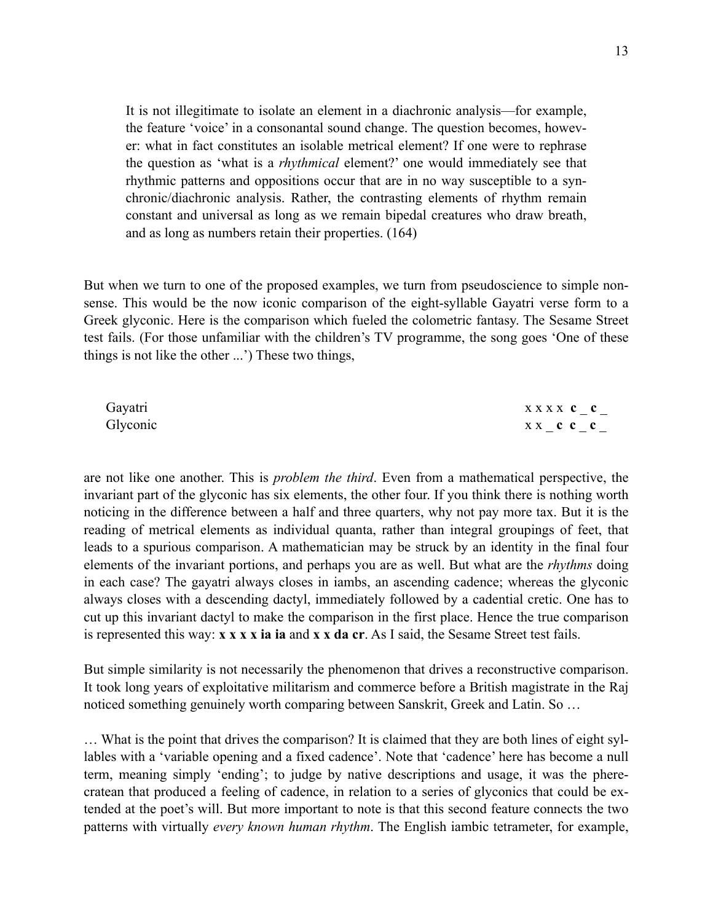It is not illegitimate to isolate an element in a diachronic analysis—for example, the feature 'voice' in a consonantal sound change. The question becomes, however: what in fact constitutes an isolable metrical element? If one were to rephrase the question as 'what is a *rhythmical* element?' one would immediately see that rhythmic patterns and oppositions occur that are in no way susceptible to a synchronic/diachronic analysis. Rather, the contrasting elements of rhythm remain constant and universal as long as we remain bipedal creatures who draw breath, and as long as numbers retain their properties. (164)

But when we turn to one of the proposed examples, we turn from pseudoscience to simple nonsense. This would be the now iconic comparison of the eight-syllable Gayatri verse form to a Greek glyconic. Here is the comparison which fueled the colometric fantasy. The Sesame Street test fails. (For those unfamiliar with the children's TV programme, the song goes 'One of these things is not like the other ...') These two things,

| Gayatri  | XXXX C C |
|----------|----------|
| Glyconic | xx c c c |

are not like one another. This is *problem the third*. Even from a mathematical perspective, the invariant part of the glyconic has six elements, the other four. If you think there is nothing worth noticing in the difference between a half and three quarters, why not pay more tax. But it is the reading of metrical elements as individual quanta, rather than integral groupings of feet, that leads to a spurious comparison. A mathematician may be struck by an identity in the final four elements of the invariant portions, and perhaps you are as well. But what are the *rhythms* doing in each case? The gayatri always closes in iambs, an ascending cadence; whereas the glyconic always closes with a descending dactyl, immediately followed by a cadential cretic. One has to cut up this invariant dactyl to make the comparison in the first place. Hence the true comparison is represented this way: **x x x x ia ia** and **x x da cr**. As I said, the Sesame Street test fails.

But simple similarity is not necessarily the phenomenon that drives a reconstructive comparison. It took long years of exploitative militarism and commerce before a British magistrate in the Raj noticed something genuinely worth comparing between Sanskrit, Greek and Latin. So …

… What is the point that drives the comparison? It is claimed that they are both lines of eight syllables with a 'variable opening and a fixed cadence'. Note that 'cadence' here has become a null term, meaning simply 'ending'; to judge by native descriptions and usage, it was the pherecratean that produced a feeling of cadence, in relation to a series of glyconics that could be extended at the poet's will. But more important to note is that this second feature connects the two patterns with virtually *every known human rhythm*. The English iambic tetrameter, for example,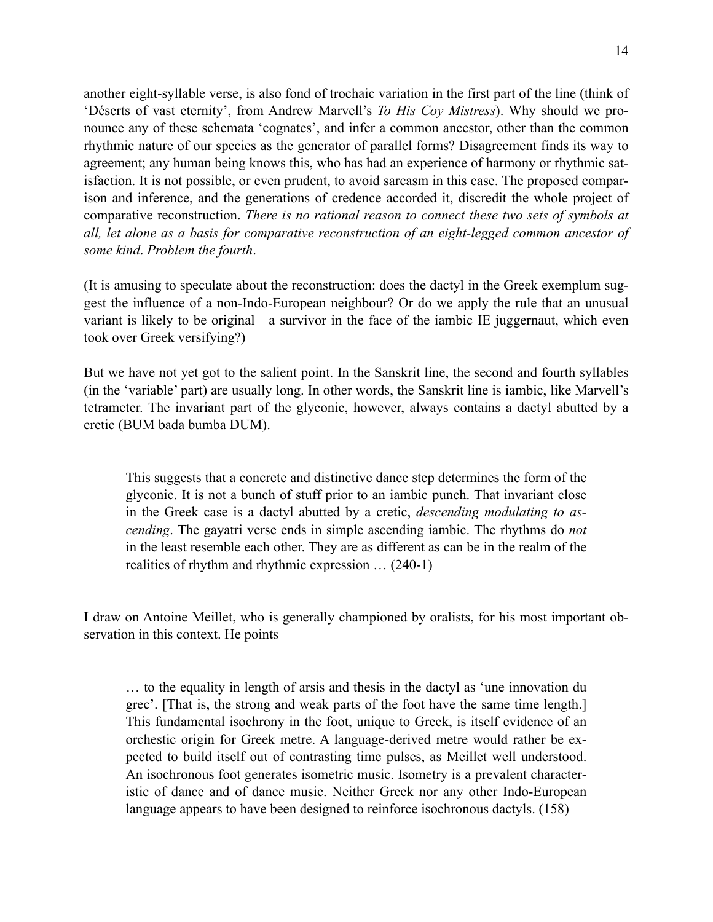another eight-syllable verse, is also fond of trochaic variation in the first part of the line (think of 'Déserts of vast eternity', from Andrew Marvell's *To His Coy Mistress*). Why should we pronounce any of these schemata 'cognates', and infer a common ancestor, other than the common rhythmic nature of our species as the generator of parallel forms? Disagreement finds its way to agreement; any human being knows this, who has had an experience of harmony or rhythmic satisfaction. It is not possible, or even prudent, to avoid sarcasm in this case. The proposed comparison and inference, and the generations of credence accorded it, discredit the whole project of comparative reconstruction. *There is no rational reason to connect these two sets of symbols at all, let alone as a basis for comparative reconstruction of an eight-legged common ancestor of some kind*. *Problem the fourth*.

(It is amusing to speculate about the reconstruction: does the dactyl in the Greek exemplum suggest the influence of a non-Indo-European neighbour? Or do we apply the rule that an unusual variant is likely to be original—a survivor in the face of the iambic IE juggernaut, which even took over Greek versifying?)

But we have not yet got to the salient point. In the Sanskrit line, the second and fourth syllables (in the 'variable' part) are usually long. In other words, the Sanskrit line is iambic, like Marvell's tetrameter. The invariant part of the glyconic, however, always contains a dactyl abutted by a cretic (BUM bada bumba DUM).

This suggests that a concrete and distinctive dance step determines the form of the glyconic. It is not a bunch of stuff prior to an iambic punch. That invariant close in the Greek case is a dactyl abutted by a cretic, *descending modulating to ascending*. The gayatri verse ends in simple ascending iambic. The rhythms do *not*  in the least resemble each other. They are as different as can be in the realm of the realities of rhythm and rhythmic expression … (240-1)

I draw on Antoine Meillet, who is generally championed by oralists, for his most important observation in this context. He points

… to the equality in length of arsis and thesis in the dactyl as 'une innovation du grec'. [That is, the strong and weak parts of the foot have the same time length.] This fundamental isochrony in the foot, unique to Greek, is itself evidence of an orchestic origin for Greek metre. A language-derived metre would rather be expected to build itself out of contrasting time pulses, as Meillet well understood. An isochronous foot generates isometric music. Isometry is a prevalent characteristic of dance and of dance music. Neither Greek nor any other Indo-European language appears to have been designed to reinforce isochronous dactyls. (158)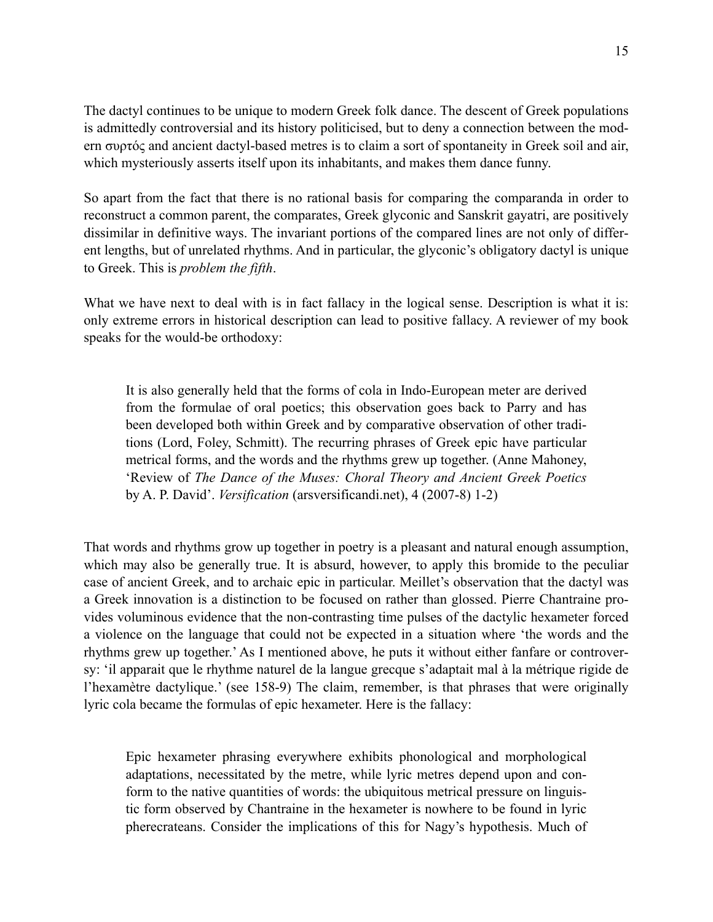The dactyl continues to be unique to modern Greek folk dance. The descent of Greek populations is admittedly controversial and its history politicised, but to deny a connection between the modern συρτός and ancient dactyl-based metres is to claim a sort of spontaneity in Greek soil and air, which mysteriously asserts itself upon its inhabitants, and makes them dance funny.

So apart from the fact that there is no rational basis for comparing the comparanda in order to reconstruct a common parent, the comparates, Greek glyconic and Sanskrit gayatri, are positively dissimilar in definitive ways. The invariant portions of the compared lines are not only of different lengths, but of unrelated rhythms. And in particular, the glyconic's obligatory dactyl is unique to Greek. This is *problem the fifth*.

What we have next to deal with is in fact fallacy in the logical sense. Description is what it is: only extreme errors in historical description can lead to positive fallacy. A reviewer of my book speaks for the would-be orthodoxy:

It is also generally held that the forms of cola in Indo-European meter are derived from the formulae of oral poetics; this observation goes back to Parry and has been developed both within Greek and by comparative observation of other traditions (Lord, Foley, Schmitt). The recurring phrases of Greek epic have particular metrical forms, and the words and the rhythms grew up together. (Anne Mahoney, 'Review of *The Dance of the Muses: Choral Theory and Ancient Greek Poetics* by A. P. David'. *Versification* (arsversificandi.net), 4 (2007-8) 1-2)

That words and rhythms grow up together in poetry is a pleasant and natural enough assumption, which may also be generally true. It is absurd, however, to apply this bromide to the peculiar case of ancient Greek, and to archaic epic in particular. Meillet's observation that the dactyl was a Greek innovation is a distinction to be focused on rather than glossed. Pierre Chantraine provides voluminous evidence that the non-contrasting time pulses of the dactylic hexameter forced a violence on the language that could not be expected in a situation where 'the words and the rhythms grew up together.' As I mentioned above, he puts it without either fanfare or controversy: 'il apparait que le rhythme naturel de la langue grecque s'adaptait mal à la métrique rigide de l'hexamètre dactylique.' (see 158-9) The claim, remember, is that phrases that were originally lyric cola became the formulas of epic hexameter. Here is the fallacy:

Epic hexameter phrasing everywhere exhibits phonological and morphological adaptations, necessitated by the metre, while lyric metres depend upon and conform to the native quantities of words: the ubiquitous metrical pressure on linguistic form observed by Chantraine in the hexameter is nowhere to be found in lyric pherecrateans. Consider the implications of this for Nagy's hypothesis. Much of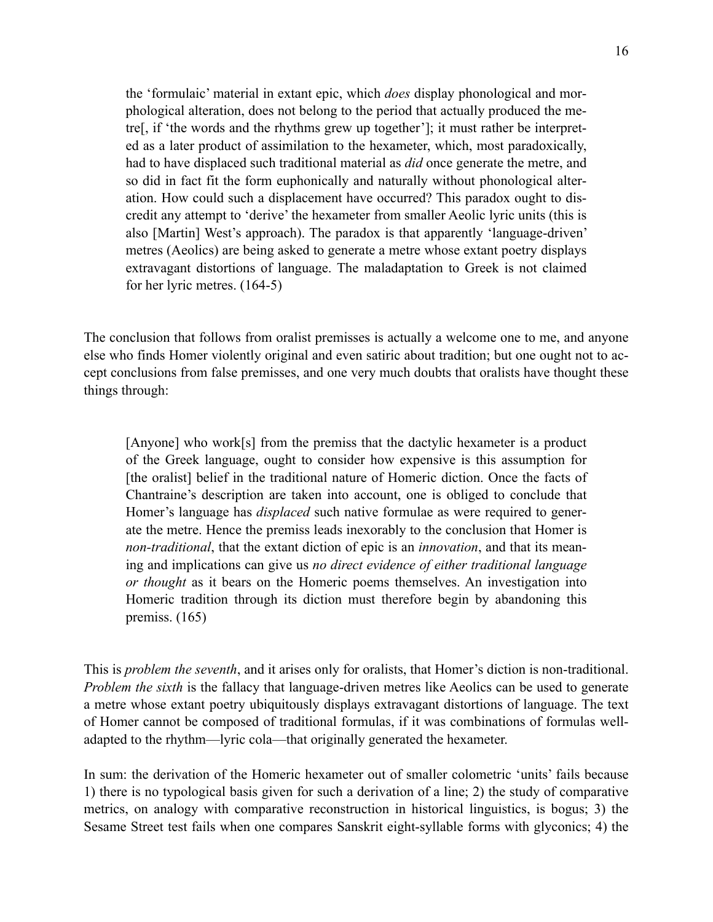the 'formulaic' material in extant epic, which *does* display phonological and morphological alteration, does not belong to the period that actually produced the metre[, if 'the words and the rhythms grew up together']; it must rather be interpreted as a later product of assimilation to the hexameter, which, most paradoxically, had to have displaced such traditional material as *did* once generate the metre, and so did in fact fit the form euphonically and naturally without phonological alteration. How could such a displacement have occurred? This paradox ought to discredit any attempt to 'derive' the hexameter from smaller Aeolic lyric units (this is also [Martin] West's approach). The paradox is that apparently 'language-driven' metres (Aeolics) are being asked to generate a metre whose extant poetry displays extravagant distortions of language. The maladaptation to Greek is not claimed for her lyric metres. (164-5)

The conclusion that follows from oralist premisses is actually a welcome one to me, and anyone else who finds Homer violently original and even satiric about tradition; but one ought not to accept conclusions from false premisses, and one very much doubts that oralists have thought these things through:

[Anyone] who work[s] from the premiss that the dactylic hexameter is a product of the Greek language, ought to consider how expensive is this assumption for [the oralist] belief in the traditional nature of Homeric diction. Once the facts of Chantraine's description are taken into account, one is obliged to conclude that Homer's language has *displaced* such native formulae as were required to generate the metre. Hence the premiss leads inexorably to the conclusion that Homer is *non-traditional*, that the extant diction of epic is an *innovation*, and that its meaning and implications can give us *no direct evidence of either traditional language or thought* as it bears on the Homeric poems themselves. An investigation into Homeric tradition through its diction must therefore begin by abandoning this premiss. (165)

This is *problem the seventh*, and it arises only for oralists, that Homer's diction is non-traditional. *Problem the sixth* is the fallacy that language-driven metres like Aeolics can be used to generate a metre whose extant poetry ubiquitously displays extravagant distortions of language. The text of Homer cannot be composed of traditional formulas, if it was combinations of formulas welladapted to the rhythm—lyric cola—that originally generated the hexameter.

In sum: the derivation of the Homeric hexameter out of smaller colometric 'units' fails because 1) there is no typological basis given for such a derivation of a line; 2) the study of comparative metrics, on analogy with comparative reconstruction in historical linguistics, is bogus; 3) the Sesame Street test fails when one compares Sanskrit eight-syllable forms with glyconics; 4) the